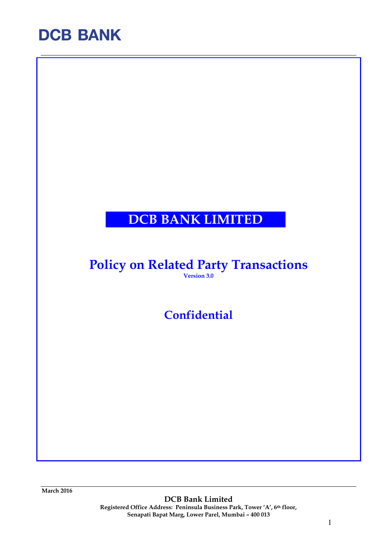### DCB BANK LIMITED

### Policy on Related Party Transactions

Version 3.0

**Confidential** 

March 2016

DCB Bank Limited Registered Office Address: Peninsula Business Park, Tower 'A', 6th floor, Senapati Bapat Marg, Lower Parel, Mumbai – 400 013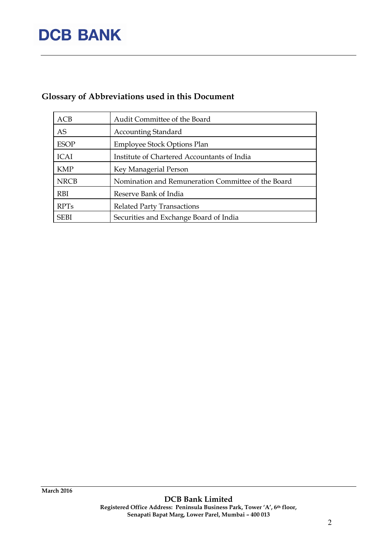### Glossary of Abbreviations used in this Document

| ACB         | Audit Committee of the Board                       |
|-------------|----------------------------------------------------|
| <b>AS</b>   | <b>Accounting Standard</b>                         |
| <b>ESOP</b> | <b>Employee Stock Options Plan</b>                 |
| <b>ICAI</b> | Institute of Chartered Accountants of India        |
| <b>KMP</b>  | Key Managerial Person                              |
| <b>NRCB</b> | Nomination and Remuneration Committee of the Board |
| <b>RBI</b>  | Reserve Bank of India                              |
| <b>RPTs</b> | <b>Related Party Transactions</b>                  |
| <b>SEBI</b> | Securities and Exchange Board of India             |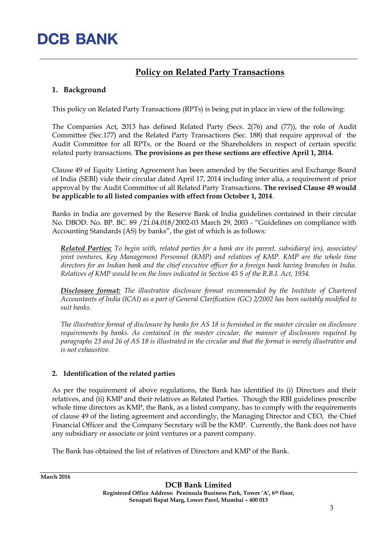### Policy on Related Party Transactions

### 1. Background

This policy on Related Party Transactions (RPTs) is being put in place in view of the following:

The Companies Act, 2013 has defined Related Party (Secs. 2(76) and (77)), the role of Audit Committee (Sec.177) and the Related Party Transactions (Sec. 188) that require approval of the Audit Committee for all RPTs, or the Board or the Shareholders in respect of certain specific related party transactions. The provisions as per these sections are effective April 1, 2014.

Clause 49 of Equity Listing Agreement has been amended by the Securities and Exchange Board of India (SEBI) vide their circular dated April 17, 2014 including inter alia, a requirement of prior approval by the Audit Committee of all Related Party Transactions. The revised Clause 49 would be applicable to all listed companies with effect from October 1, 2014.

Banks in India are governed by the Reserve Bank of India guidelines contained in their circular No. DBOD. No. BP. BC. 89 /21.04.018/2002-03 March 29, 2003 - "Guidelines on compliance with Accounting Standards (AS) by banks", the gist of which is as follows:

Related Parties: To begin with, related parties for a bank are its parent, subsidiary( ies), associates/ joint ventures, Key Management Personnel (KMP) and relatives of KMP. KMP are the whole time directors for an Indian bank and the chief executive officer for a foreign bank having branches in India. Relatives of KMP would be on the lines indicated in Section 45 S of the R.B.I. Act, 1934.

Disclosure format: The illustrative disclosure format recommended by the Institute of Chartered Accountants of India (ICAI) as a part of General Clarification (GC) 2/2002 has been suitably modified to suit banks.

The illustrative format of disclosure by banks for AS 18 is furnished in the master circular on disclosure requirements by banks. As contained in the master circular, the manner of disclosures required by paragraphs 23 and 26 of AS 18 is illustrated in the circular and that the format is merely illustrative and is not exhaustive.

#### 2. Identification of the related parties

As per the requirement of above regulations, the Bank has identified its (i) Directors and their relatives, and (ii) KMP and their relatives as Related Parties. Though the RBI guidelines prescribe whole time directors as KMP, the Bank, as a listed company, has to comply with the requirements of clause 49 of the listing agreement and accordingly, the Managing Director and CEO, the Chief Financial Officer and the Company Secretary will be the KMP. Currently, the Bank does not have any subsidiary or associate or joint ventures or a parent company.

The Bank has obtained the list of relatives of Directors and KMP of the Bank.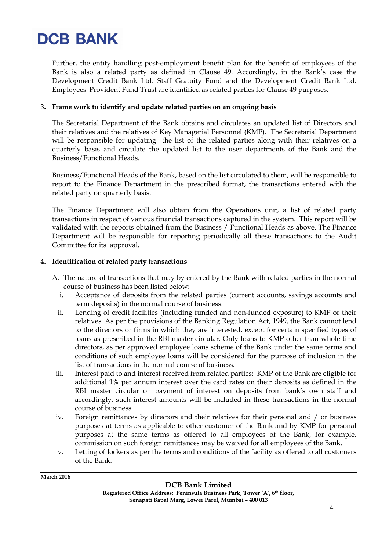Further, the entity handling post-employment benefit plan for the benefit of employees of the Bank is also a related party as defined in Clause 49. Accordingly, in the Bank's case the Development Credit Bank Ltd. Staff Gratuity Fund and the Development Credit Bank Ltd. Employees' Provident Fund Trust are identified as related parties for Clause 49 purposes.

#### 3. Frame work to identify and update related parties on an ongoing basis

The Secretarial Department of the Bank obtains and circulates an updated list of Directors and their relatives and the relatives of Key Managerial Personnel (KMP). The Secretarial Department will be responsible for updating the list of the related parties along with their relatives on a quarterly basis and circulate the updated list to the user departments of the Bank and the Business/Functional Heads.

Business/Functional Heads of the Bank, based on the list circulated to them, will be responsible to report to the Finance Department in the prescribed format, the transactions entered with the related party on quarterly basis.

The Finance Department will also obtain from the Operations unit, a list of related party transactions in respect of various financial transactions captured in the system. This report will be validated with the reports obtained from the Business / Functional Heads as above. The Finance Department will be responsible for reporting periodically all these transactions to the Audit Committee for its approval.

#### 4. Identification of related party transactions

- A. The nature of transactions that may by entered by the Bank with related parties in the normal course of business has been listed below:
	- i. Acceptance of deposits from the related parties (current accounts, savings accounts and term deposits) in the normal course of business.
	- ii. Lending of credit facilities (including funded and non-funded exposure) to KMP or their relatives. As per the provisions of the Banking Regulation Act, 1949, the Bank cannot lend to the directors or firms in which they are interested, except for certain specified types of loans as prescribed in the RBI master circular. Only loans to KMP other than whole time directors, as per approved employee loans scheme of the Bank under the same terms and conditions of such employee loans will be considered for the purpose of inclusion in the list of transactions in the normal course of business.
- iii. Interest paid to and interest received from related parties: KMP of the Bank are eligible for additional 1% per annum interest over the card rates on their deposits as defined in the RBI master circular on payment of interest on deposits from bank's own staff and accordingly, such interest amounts will be included in these transactions in the normal course of business.
- iv. Foreign remittances by directors and their relatives for their personal and / or business purposes at terms as applicable to other customer of the Bank and by KMP for personal purposes at the same terms as offered to all employees of the Bank, for example, commission on such foreign remittances may be waived for all employees of the Bank.
- v. Letting of lockers as per the terms and conditions of the facility as offered to all customers of the Bank.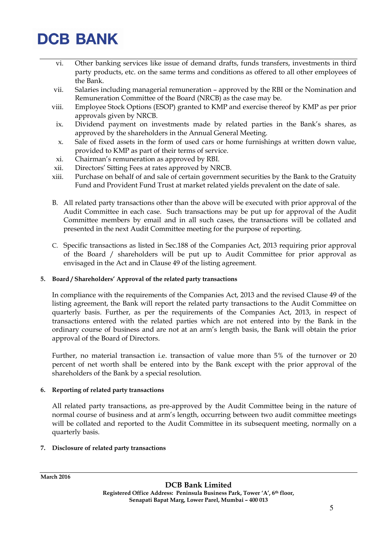- vi. Other banking services like issue of demand drafts, funds transfers, investments in third party products, etc. on the same terms and conditions as offered to all other employees of the Bank.
- vii. Salaries including managerial remuneration approved by the RBI or the Nomination and Remuneration Committee of the Board (NRCB) as the case may be.
- viii. Employee Stock Options (ESOP) granted to KMP and exercise thereof by KMP as per prior approvals given by NRCB.
	- ix. Dividend payment on investments made by related parties in the Bank's shares, as approved by the shareholders in the Annual General Meeting.
	- x. Sale of fixed assets in the form of used cars or home furnishings at written down value, provided to KMP as part of their terms of service.
- xi. Chairman's remuneration as approved by RBI.
- xii. Directors' Sitting Fees at rates approved by NRCB.
- xiii. Purchase on behalf of and sale of certain government securities by the Bank to the Gratuity Fund and Provident Fund Trust at market related yields prevalent on the date of sale.
- B. All related party transactions other than the above will be executed with prior approval of the Audit Committee in each case. Such transactions may be put up for approval of the Audit Committee members by email and in all such cases, the transactions will be collated and presented in the next Audit Committee meeting for the purpose of reporting.
- C. Specific transactions as listed in Sec.188 of the Companies Act, 2013 requiring prior approval of the Board / shareholders will be put up to Audit Committee for prior approval as envisaged in the Act and in Clause 49 of the listing agreement.

#### 5. Board / Shareholders' Approval of the related party transactions

In compliance with the requirements of the Companies Act, 2013 and the revised Clause 49 of the listing agreement, the Bank will report the related party transactions to the Audit Committee on quarterly basis. Further, as per the requirements of the Companies Act, 2013, in respect of transactions entered with the related parties which are not entered into by the Bank in the ordinary course of business and are not at an arm's length basis, the Bank will obtain the prior approval of the Board of Directors.

Further, no material transaction i.e. transaction of value more than 5% of the turnover or 20 percent of net worth shall be entered into by the Bank except with the prior approval of the shareholders of the Bank by a special resolution.

#### 6. Reporting of related party transactions

All related party transactions, as pre-approved by the Audit Committee being in the nature of normal course of business and at arm's length, occurring between two audit committee meetings will be collated and reported to the Audit Committee in its subsequent meeting, normally on a quarterly basis.

#### 7. Disclosure of related party transactions